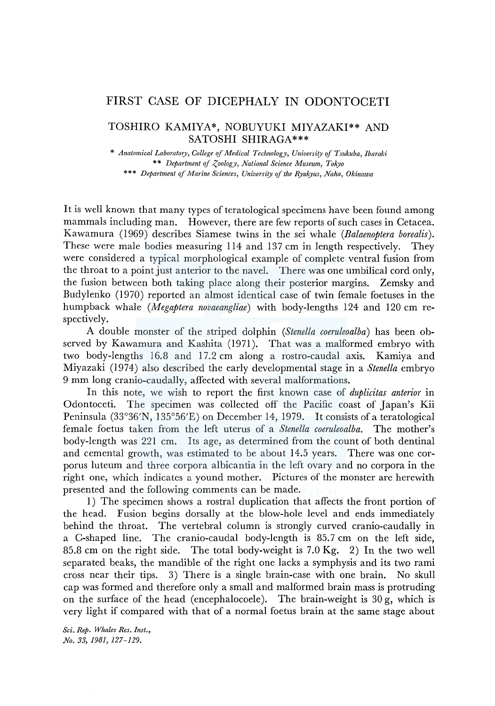## FIRST CASE OF DICEPHALY IN ODONTOCETI

## TOSHIRO KAMIYA\*, NOBUYUKI MIYAZAKI\*\* AND SATOSHI SHIRAGA\*\*\*

\* *Anatomical Laboratory, College of Medical Technology, University of Tsukuba, lbaraki*  \*\* *Department qf Zoology, National Science Museum, Tokyo*  \*\*\* *Department of Marine Sciences, University of the Ryukyus, Naha, Okinawa* 

It is well known that many types of teratological specimens have been found among mammals including man. However, there are few reports of such cases in Cetacea. Kawamura (1969) describes Siamese twins in the sei whale *(Balaenoptera borealis).*  These were male bodies measuring 114 and 137 cm in length respectively. They were considered a typical morphological example of complete ventral fusion from the throat to a point just anterior to the navel. There was one umbilical cord only, the fusion between both taking place along their posterior margins. Zemsky and Budylenko (1970) reported an almost identical case of twin female foetuses in the humpback whale *(Megaptera novaeangliae)* with body-lengths 124 and 120 cm respectively.

A double monster of the striped dolphin *(Stenella coeruleoalba)* has been observed by Kawamura and Kashita (1971). That was a malformed embryo with two body-lengths 16.8 and 17.2 cm along a rostro-caudal axis. Kamiya and Miyazaki (1974) also described the early developmental stage in a *Stenella* embryo 9 mm long cranio-caudally, affected with several malformations.

In this note, we wish to report the first known case of *duplicitas anterior* in Odontoceti. The specimen was collected off the Pacific coast of Japan's Kii Peninsula (33°36'N, 135°56'E) on December 14, 1979. It consists of a teratological female foetus taken from the left uterus of a *Stenella coeruleoalba.* The mother's body-length was 221 cm. Its age, as determined from the count of both dentinal and cemental growth, was estimated to be about 14.5 years. There was one corporus luteum and three corpora albicantia in the left ovary and no corpora in the right one, which indicates a yound mother. Pictures of the monster are herewith presented and the following comments can be made.

1) The specimen shows a rostral duplication that affects the front portion of the head. Fusion begins dorsally at the blow-hole level and ends immediately behind the throat. The vertebral column is strongly curved cranio-caudally in a C-shaped line. The cranio-caudal body-length is 85.7 cm on the left side, 85.8 cm on the right side. The total body-weight is  $7.0 \text{ kg}$ , 2) In the two well separated beaks, the mandible of the right one lacks a symphysis and its two rami cross near their tips. 3) There is a single brain-case with one brain. No skull cap was formed and therefore only a small and malformed brain mass is protruding on the surface of the head (encephalocoele). The brain-weight is 30 g, which is very light if compared with that of a normal foetus brain at the same stage about

*Sci. Rep. Whales Res. Inst., No. 33, 1981, 127-129.*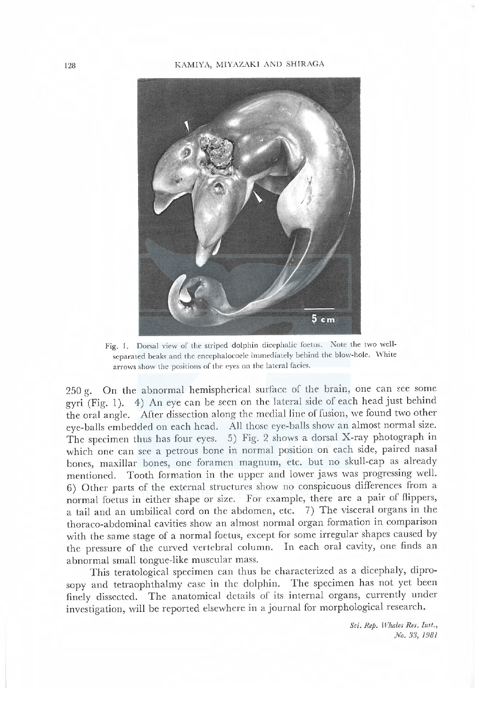## 128 ]' i¥11Y八, i¥11Y Kl ND SHI R G A



Fig. 1. Dorsal view of the striped dolphin dicephalic foetus. Note the two wellseparated beaks and the encephalocoele immediately behind the blow-hole. White arrows show the positions of the eyes on the lateral facies.

250 g. On the abnormal hemispherical surface of the brain, one can see some gyri (Fig. 1). 4) An eye can be seen on the lateral side of each head just behind the oral angle. After dissection along the medial line of fusion, we found two other eye-bals embedded on each head. All those eye-balls show an almost normal size. The specimen thus has four eyes. 5) Fig. 2 shows a dorsal X-ray photograph in which one can see a petrous bone in normal position on each side, paired nasal bones, maxillar bones, one foramen magnum, etc. but no skull-cap as already mentioned. Tooth formation in the upper and lower jaws was progressing well. 6) Other parts of the external structures show no conspicuous differences from a normal foetus in either shape or size. For example, there are a pair of flippers, a tail and an umbilical cord on the abdomen, etc. 7) The visceral organs in the thoraco-abdominal cavities show an almost normal organ formation in comparison with the same stage of a normal foetus, except for some irregular shapes caused by the pressure of the curved vertebral column. In each oral cavity, one finds an abnormal small tongue-like muscular mass.

This teratological specimen can thus be characterized as a dicephaly, diprosopy and tetraophthalmy case in the dolphin. The specimen has not yet been finely dissected. The anatomical details of its internal organs, currently under investigation, will be reported elsewhere in a journal for morphological research.

> Sci. Rep. Whales Res. Inst., No. 33, 1981